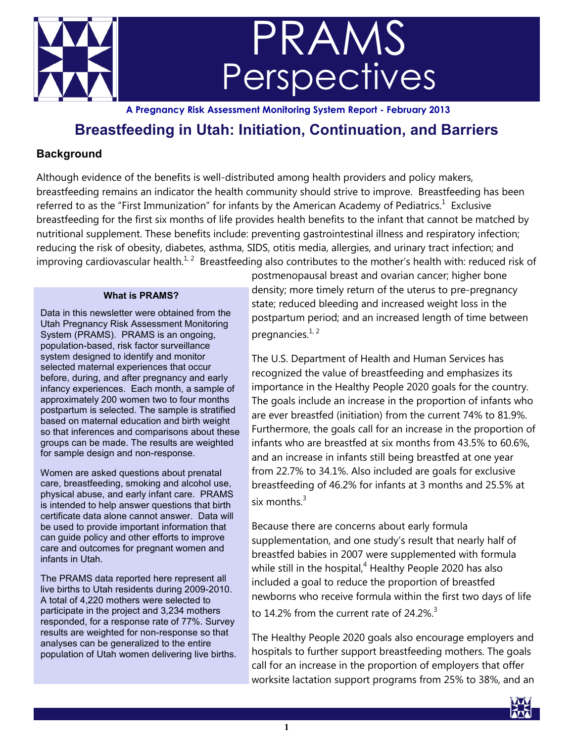

# PRAMS **Perspectives**

**A Pregnancy Risk Assessment Monitoring System Report - February 2013**

## **Breastfeeding in Utah: Initiation, Continuation, and Barriers**

## **Background**

Although evidence of the benefits is well-distributed among health providers and policy makers, breastfeeding remains an indicator the health community should strive to improve. Breastfeeding has been referredto as the "First Immunization" for infants by the American Academy of Pediatrics. $1$  Exclusive breastfeeding for the first six months of life provides health benefits to the infant that cannot be matched by nutritional supplement. These benefits include: preventing gastrointestinal illness and respiratory infection; reducing the risk of obesity, diabetes, asthma, SIDS, otitis media, allergies, and urinary tract infection; and improving cardiovascular health.<sup>[1,](file:///C:/Documents%20and%20Settings/BALGARIN/Desktop/Breastfeeding%20PRAMS%20Report%202013.docx#_ENREF_1#_ENREF_1) 2</sup>Breastfeeding also contributes to the mother's health with: reduced risk of

#### **What is PRAMS?**

Data in this newsletter were obtained from the Utah Pregnancy Risk Assessment Monitoring System (PRAMS). PRAMS is an ongoing, population-based, risk factor surveillance system designed to identify and monitor selected maternal experiences that occur before, during, and after pregnancy and early infancy experiences. Each month, a sample of approximately 200 women two to four months postpartum is selected. The sample is stratified based on maternal education and birth weight so that inferences and comparisons about these groups can be made. The results are weighted for sample design and non-response.

Women are asked questions about prenatal care, breastfeeding, smoking and alcohol use, physical abuse, and early infant care. PRAMS is intended to help answer questions that birth certificate data alone cannot answer. Data will be used to provide important information that can guide policy and other efforts to improve care and outcomes for pregnant women and infants in Utah.

The PRAMS data reported here represent all live births to Utah residents during 2009-2010. A total of 4,220 mothers were selected to participate in the project and 3,234 mothers responded, for a response rate of 77%. Survey results are weighted for non-response so that analyses can be generalized to the entire population of Utah women delivering live births. postmenopausal breast and ovarian cancer; higher bone density; more timely return of the uterus to pre-pregnancy state; reduced bleeding and increased weight loss in the postpartum period; and an increased length of time between pregnancies. $1, 2$  $1, 2$ 

The U.S. Department of Health and Human Services has recognized the value of breastfeeding and emphasizes its importance in the Healthy People 2020 goals for the country. The goals include an increase in the proportion of infants who are ever breastfed (initiation) from the current 74% to 81.9%. Furthermore, the goals call for an increase in the proportion of infants who are breastfed at six months from 43.5% to 60.6%, and an increase in infants still being breastfed at one year from 22.7% to 34.1%. Also included are goals for exclusive breastfeeding of 46.2% for infants at 3 months and 25.5% at six months  $3$ 

Because there are concerns about early formula supplementation, and one study's result that nearly half of breastfed babies in 2007 were supplemented with formula while still in the hospital, $4$  Healthy People 2020 has also included a goal to reduce the proportion of breastfed newborns who receive formula within the first two days of life to 14.2% from the current rate of  $24.2\%$ <sup>[3](file:///C:/Documents%20and%20Settings/BALGARIN/Desktop/Breastfeeding%20PRAMS%20Report%202013.docx#_ENREF_3#_ENREF_3)</sup>

The Healthy People 2020 goals also encourage employers and hospitals to further support breastfeeding mothers. The goals call for an increase in the proportion of employers that offer worksite lactation support programs from 25% to 38%, and an

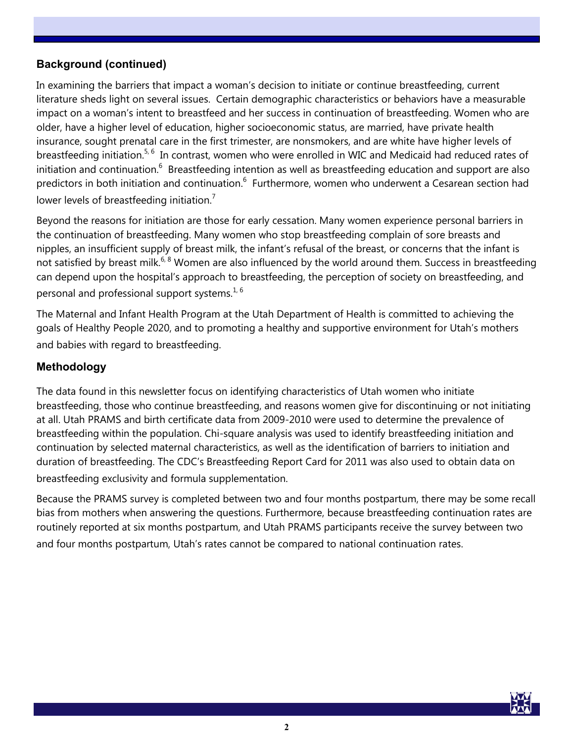## **Background (continued)**

In examining the barriers that impact a woman's decision to initiate or continue breastfeeding, current literature sheds light on several issues. Certain demographic characteristics or behaviors have a measurable impact on a woman's intent to breastfeed and her success in continuation of breastfeeding. Women who are older, have a higher level of education, higher socioeconomic status, are married, have private health insurance, sought prenatal care in the first trimester, are nonsmokers, and are white have higher levels of breastfeeding initiation.<sup>[5,](file:///C:/Documents%20and%20Settings/BALGARIN/Desktop/Breastfeeding%20PRAMS%20Report%202013.docx#_ENREF_5#_ENREF_5)6</sup> In contrast, women who were enrolled in WIC and Medicaid had reduced rates of initiationand continuation.  $6$  Breastfeeding intention as well as breastfeeding education and support are also predictorsin both initiation and continuation.<sup>6</sup> Furthermore, women who underwent a Cesarean section had lower levels of breastfeeding initiation.<sup>[7](file:///C:/Documents%20and%20Settings/BALGARIN/Desktop/Breastfeeding%20PRAMS%20Report%202013.docx#_ENREF_7#_ENREF_7)</sup>

Beyond the reasons for initiation are those for early cessation. Many women experience personal barriers in the continuation of breastfeeding. Many women who stop breastfeeding complain of sore breasts and nipples, an insufficient supply of breast milk, the infant's refusal of the breast, or concerns that the infant is not satisfied by breast milk.<sup>[6,](file:///C:/Documents%20and%20Settings/BALGARIN/Desktop/Breastfeeding%20PRAMS%20Report%202013.docx#_ENREF_6#_ENREF_6) [8](file:///C:/Documents%20and%20Settings/BALGARIN/Desktop/Breastfeeding%20PRAMS%20Report%202013.docx#_ENREF_8#_ENREF_8)</sup> Women are also influenced by the world around them. Success in breastfeeding can depend upon the hospital's approach to breastfeeding, the perception of society on breastfeeding, and personal and professional support systems.<sup>[1,](file:///C:/Documents%20and%20Settings/BALGARIN/Desktop/Breastfeeding%20PRAMS%20Report%202013.docx#_ENREF_1#_ENREF_1) [6](file:///C:/Documents%20and%20Settings/BALGARIN/Desktop/Breastfeeding%20PRAMS%20Report%202013.docx#_ENREF_6#_ENREF_6)</sup>

The Maternal and Infant Health Program at the Utah Department of Health is committed to achieving the goals of Healthy People 2020, and to promoting a healthy and supportive environment for Utah's mothers and babies with regard to breastfeeding.

#### **Methodology**

The data found in this newsletter focus on identifying characteristics of Utah women who initiate breastfeeding, those who continue breastfeeding, and reasons women give for discontinuing or not initiating at all. Utah PRAMS and birth certificate data from 2009-2010 were used to determine the prevalence of breastfeeding within the population. Chi-square analysis was used to identify breastfeeding initiation and continuation by selected maternal characteristics, as well as the identification of barriers to initiation and duration of breastfeeding. The CDC's Breastfeeding Report Card for 2011 was also used to obtain data on breastfeeding exclusivity and formula supplementation.

Because the PRAMS survey is completed between two and four months postpartum, there may be some recall bias from mothers when answering the questions. Furthermore, because breastfeeding continuation rates are routinely reported at six months postpartum, and Utah PRAMS participants receive the survey between two and four months postpartum, Utah's rates cannot be compared to national continuation rates.

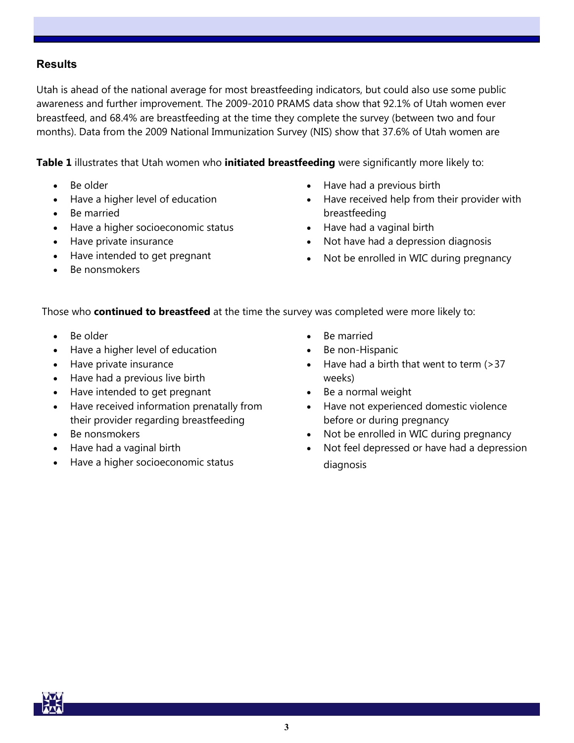#### **Results**

Utah is ahead of the national average for most breastfeeding indicators, but could also use some public awareness and further improvement. The 2009-2010 PRAMS data show that 92.1% of Utah women ever breastfeed, and 68.4% are breastfeeding at the time they complete the survey (between two and four months). Data from the 2009 National Immunization Survey (NIS) show that 37.6% of Utah women are

**Table 1** illustrates that Utah women who **initiated breastfeeding** were significantly more likely to:

- Be older
- Have a higher level of education
- Be married
- Have a higher socioeconomic status
- Have private insurance
- Have intended to get pregnant
- Be nonsmokers
- Have had a previous birth
- Have received help from their provider with breastfeeding
- Have had a vaginal birth
- Not have had a depression diagnosis
- Not be enrolled in WIC during pregnancy

Those who **continued to breastfeed** at the time the survey was completed were more likely to:

- Be older
- Have a higher level of education
- Have private insurance
- Have had a previous live birth
- Have intended to get pregnant
- Have received information prenatally from their provider regarding breastfeeding
- Be nonsmokers
- Have had a vaginal birth
- Have a higher socioeconomic status
- Be married
- Be non-Hispanic
- Have had a birth that went to term (>37 weeks)
- Be a normal weight
- Have not experienced domestic violence before or during pregnancy
- Not be enrolled in WIC during pregnancy
- Not feel depressed or have had a depression diagnosis

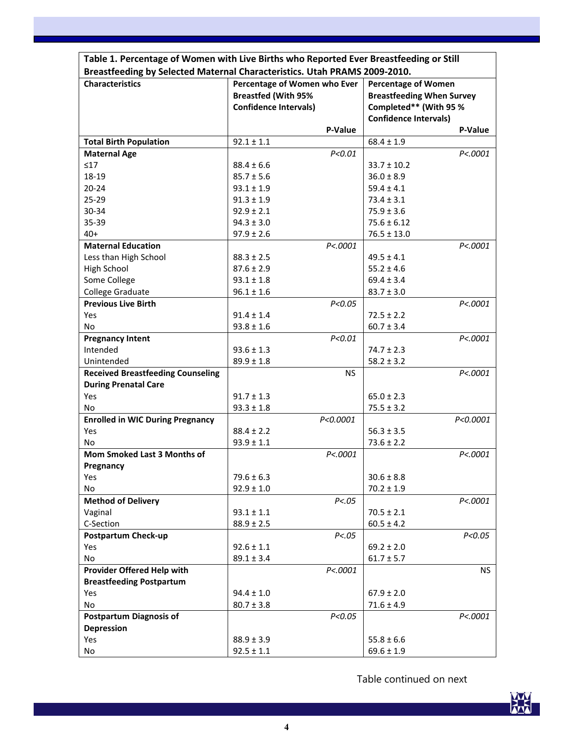| <b>Characteristics</b>                   | Breastfeeding by Selected Maternal Characteristics. Utah PRAMS 2009-2010.<br>Percentage of Women who Ever |           | <b>Percentage of Women</b>       |           |
|------------------------------------------|-----------------------------------------------------------------------------------------------------------|-----------|----------------------------------|-----------|
|                                          | <b>Breastfed (With 95%</b>                                                                                |           | <b>Breastfeeding When Survey</b> |           |
|                                          | <b>Confidence Intervals)</b>                                                                              |           | Completed** (With 95 %           |           |
|                                          |                                                                                                           |           | <b>Confidence Intervals)</b>     |           |
|                                          |                                                                                                           | P-Value   |                                  | P-Value   |
| <b>Total Birth Population</b>            | $92.1 \pm 1.1$                                                                                            |           | $68.4 \pm 1.9$                   |           |
| <b>Maternal Age</b>                      |                                                                                                           | P < 0.01  |                                  | P<.0001   |
| $\leq 17$                                | $88.4 \pm 6.6$                                                                                            |           | $33.7 \pm 10.2$                  |           |
| 18-19                                    | $85.7 \pm 5.6$                                                                                            |           | $36.0 \pm 8.9$                   |           |
| $20 - 24$                                | $93.1 \pm 1.9$                                                                                            |           | $59.4 \pm 4.1$                   |           |
| $25 - 29$                                | $91.3 \pm 1.9$                                                                                            |           | $73.4 \pm 3.1$                   |           |
| 30-34                                    | $92.9 \pm 2.1$                                                                                            |           | $75.9 \pm 3.6$                   |           |
| 35-39                                    | $94.3 \pm 3.0$                                                                                            |           | $75.6 \pm 6.12$                  |           |
| $40+$                                    | $97.9 \pm 2.6$                                                                                            |           | $76.5 \pm 13.0$                  |           |
| <b>Maternal Education</b>                |                                                                                                           | P<.0001   |                                  | P<.0001   |
| Less than High School                    | $88.3 \pm 2.5$                                                                                            |           | $49.5 \pm 4.1$                   |           |
| High School                              | $87.6 \pm 2.9$                                                                                            |           | $55.2 \pm 4.6$                   |           |
| Some College                             | $93.1 \pm 1.8$                                                                                            |           | $69.4 \pm 3.4$                   |           |
| College Graduate                         | $96.1 \pm 1.6$                                                                                            |           | $83.7 \pm 3.0$                   |           |
| <b>Previous Live Birth</b>               |                                                                                                           | P < 0.05  |                                  | P<.0001   |
| Yes                                      | $91.4 \pm 1.4$                                                                                            |           | $72.5 \pm 2.2$                   |           |
| No                                       | $93.8 \pm 1.6$                                                                                            |           | $60.7 \pm 3.4$                   |           |
| <b>Pregnancy Intent</b>                  |                                                                                                           | P < 0.01  |                                  | P<.0001   |
| Intended                                 | $93.6 \pm 1.3$                                                                                            |           | $74.7 \pm 2.3$                   |           |
| Unintended                               | $89.9 \pm 1.8$                                                                                            |           | $58.2 \pm 3.2$                   |           |
| <b>Received Breastfeeding Counseling</b> |                                                                                                           | <b>NS</b> |                                  | P<.0001   |
| <b>During Prenatal Care</b>              |                                                                                                           |           |                                  |           |
| Yes                                      | $91.7 \pm 1.3$                                                                                            |           | $65.0 \pm 2.3$                   |           |
| No                                       | $93.3 \pm 1.8$                                                                                            |           | $75.5 \pm 3.2$                   |           |
| <b>Enrolled in WIC During Pregnancy</b>  |                                                                                                           | P<0.0001  |                                  | P<0.0001  |
| Yes                                      | $88.4 \pm 2.2$                                                                                            |           | $56.3 \pm 3.5$                   |           |
| No                                       | $93.9 \pm 1.1$                                                                                            |           | $73.6 \pm 2.2$                   |           |
| Mom Smoked Last 3 Months of              |                                                                                                           | P<.0001   |                                  | P<.0001   |
| Pregnancy                                |                                                                                                           |           |                                  |           |
| Yes                                      | $79.6 \pm 6.3$                                                                                            |           | $30.6 \pm 8.8$                   |           |
| No                                       | $92.9 \pm 1.0$                                                                                            |           | $70.2 \pm 1.9$                   |           |
| <b>Method of Delivery</b>                |                                                                                                           | P < .05   |                                  | P<.0001   |
| Vaginal                                  | $93.1 \pm 1.1$                                                                                            |           | $70.5 \pm 2.1$                   |           |
| C-Section                                | $88.9 \pm 2.5$                                                                                            |           | $60.5 \pm 4.2$                   |           |
| <b>Postpartum Check-up</b>               |                                                                                                           | P < .05   |                                  | P < 0.05  |
| Yes                                      | $92.6 \pm 1.1$                                                                                            |           | $69.2 \pm 2.0$                   |           |
| No                                       | $89.1 \pm 3.4$                                                                                            |           | $61.7 \pm 5.7$                   |           |
| Provider Offered Help with               |                                                                                                           | P<.0001   |                                  | <b>NS</b> |
| <b>Breastfeeding Postpartum</b>          |                                                                                                           |           |                                  |           |
| Yes                                      | $94.4 \pm 1.0$                                                                                            |           | $67.9 \pm 2.0$                   |           |
| No                                       | $80.7 \pm 3.8$                                                                                            |           | $71.6 \pm 4.9$                   |           |
| <b>Postpartum Diagnosis of</b>           |                                                                                                           | P < 0.05  |                                  | P<.0001   |
| <b>Depression</b>                        |                                                                                                           |           |                                  |           |
| Yes                                      | $88.9 \pm 3.9$                                                                                            |           | $55.8 \pm 6.6$                   |           |
| No                                       | $92.5 \pm 1.1$                                                                                            |           | $69.6 \pm 1.9$                   |           |
|                                          |                                                                                                           |           |                                  |           |



ヿ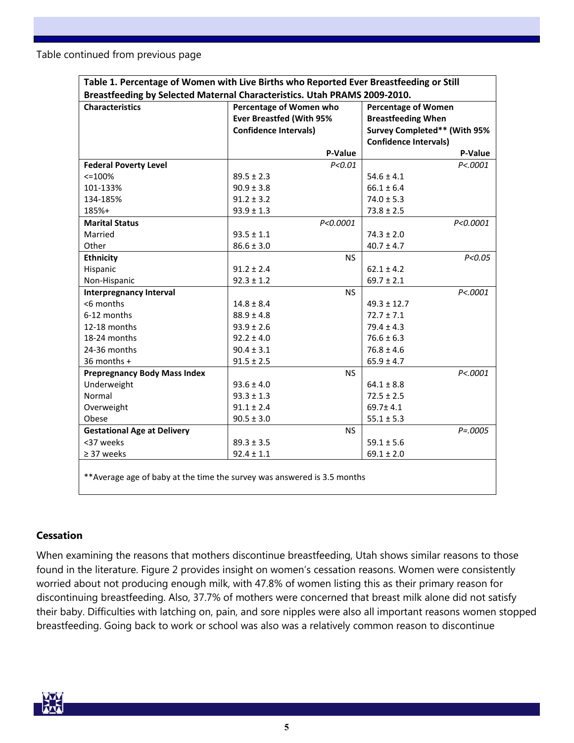Table continued from previous page

| Table 1. Percentage of Women with Live Births who Reported Ever Breastfeeding or Still |                                 |                              |  |  |  |
|----------------------------------------------------------------------------------------|---------------------------------|------------------------------|--|--|--|
| Breastfeeding by Selected Maternal Characteristics. Utah PRAMS 2009-2010.              |                                 |                              |  |  |  |
| <b>Characteristics</b>                                                                 | Percentage of Women who         | <b>Percentage of Women</b>   |  |  |  |
|                                                                                        | <b>Ever Breastfed (With 95%</b> | <b>Breastfeeding When</b>    |  |  |  |
|                                                                                        | <b>Confidence Intervals)</b>    | Survey Completed** (With 95% |  |  |  |
|                                                                                        |                                 | <b>Confidence Intervals)</b> |  |  |  |
|                                                                                        | P-Value                         | P-Value                      |  |  |  |
| <b>Federal Poverty Level</b>                                                           | P < 0.01                        | P < .0001                    |  |  |  |
| $< = 100%$                                                                             | $89.5 \pm 2.3$                  | $54.6 \pm 4.1$               |  |  |  |
| 101-133%                                                                               | $90.9 \pm 3.8$                  | $66.1 \pm 6.4$               |  |  |  |
| 134-185%                                                                               | $91.2 \pm 3.2$                  | $74.0 \pm 5.3$               |  |  |  |
| 185%+                                                                                  | $93.9 \pm 1.3$                  | $73.8 \pm 2.5$               |  |  |  |
| <b>Marital Status</b>                                                                  | P < 0.0001                      | P<0.0001                     |  |  |  |
| Married                                                                                | $93.5 \pm 1.1$                  | $74.3 \pm 2.0$               |  |  |  |
| Other                                                                                  | $86.6 \pm 3.0$                  | $40.7 \pm 4.7$               |  |  |  |
| <b>Ethnicity</b>                                                                       | <b>NS</b>                       | P < 0.05                     |  |  |  |
| Hispanic                                                                               | $91.2 \pm 2.4$                  | $62.1 \pm 4.2$               |  |  |  |
| Non-Hispanic                                                                           | $92.3 \pm 1.2$                  | $69.7 \pm 2.1$               |  |  |  |
| <b>Interpregnancy Interval</b>                                                         | <b>NS</b>                       | P < 0.001                    |  |  |  |
| <6 months                                                                              | $14.8 \pm 8.4$                  | $49.3 \pm 12.7$              |  |  |  |
| 6-12 months                                                                            | $88.9 \pm 4.8$                  | $72.7 \pm 7.1$               |  |  |  |
| 12-18 months                                                                           | $93.9 \pm 2.6$                  | $79.4 \pm 4.3$               |  |  |  |
| 18-24 months                                                                           | $92.2 \pm 4.0$                  | $76.6 \pm 6.3$               |  |  |  |
| 24-36 months                                                                           | $90.4 \pm 3.1$                  | $76.8 \pm 4.6$               |  |  |  |
| 36 months +                                                                            | $91.5 \pm 2.5$                  | $65.9 \pm 4.7$               |  |  |  |
| <b>Prepregnancy Body Mass Index</b>                                                    | <b>NS</b>                       | P < .0001                    |  |  |  |
| Underweight                                                                            | $93.6 \pm 4.0$                  | $64.1 \pm 8.8$               |  |  |  |
| Normal                                                                                 | $93.3 \pm 1.3$                  | $72.5 \pm 2.5$               |  |  |  |
| Overweight                                                                             | $91.1 \pm 2.4$                  | $69.7 \pm 4.1$               |  |  |  |
| Obese                                                                                  | $90.5 \pm 3.0$                  | $55.1 \pm 5.3$               |  |  |  |
| <b>Gestational Age at Delivery</b>                                                     | NS.                             | $P = .0005$                  |  |  |  |
| <37 weeks                                                                              | $89.3 \pm 3.5$                  | $59.1 \pm 5.6$               |  |  |  |
| $\geq$ 37 weeks                                                                        | $92.4 \pm 1.1$                  | $69.1 \pm 2.0$               |  |  |  |
|                                                                                        |                                 |                              |  |  |  |

\*\*Average age of baby at the time the survey was answered is 3.5 months

#### **Cessation**

When examining the reasons that mothers discontinue breastfeeding, Utah shows similar reasons to those found in the literature. Figure 2 provides insight on women's cessation reasons. Women were consistently worried about not producing enough milk, with 47.8% of women listing this as their primary reason for discontinuing breastfeeding. Also, 37.7% of mothers were concerned that breast milk alone did not satisfy their baby. Difficulties with latching on, pain, and sore nipples were also all important reasons women stopped breastfeeding. Going back to work or school was also was a relatively common reason to discontinue

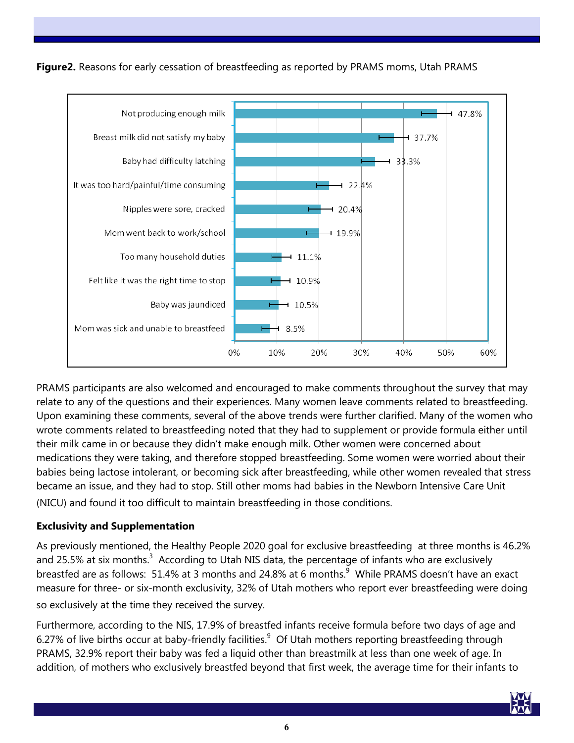

**Figure2.** Reasons for early cessation of breastfeeding as reported by PRAMS moms, Utah PRAMS

PRAMS participants are also welcomed and encouraged to make comments throughout the survey that may relate to any of the questions and their experiences. Many women leave comments related to breastfeeding. Upon examining these comments, several of the above trends were further clarified. Many of the women who wrote comments related to breastfeeding noted that they had to supplement or provide formula either until their milk came in or because they didn't make enough milk. Other women were concerned about medications they were taking, and therefore stopped breastfeeding. Some women were worried about their babies being lactose intolerant, or becoming sick after breastfeeding, while other women revealed that stress became an issue, and they had to stop. Still other moms had babies in the Newborn Intensive Care Unit (NICU) and found it too difficult to maintain breastfeeding in those conditions.

## **Exclusivity and Supplementation**

As previously mentioned, the Healthy People 2020 goal for exclusive breastfeeding at three months is 46.2% and25.5% at six months. $3$  According to Utah NIS data, the percentage of infants who are exclusively breastfedare as follows: 51.4% at 3 months and 24.8% at 6 months. $^9$  While PRAMS doesn't have an exact measure for three- or six-month exclusivity, 32% of Utah mothers who report ever breastfeeding were doing so exclusively at the time they received the survey.

Furthermore, according to the NIS, 17.9% of breastfed infants receive formula before two days of age and 6.27%of live births occur at baby-friendly facilities. $9$  Of Utah mothers reporting breastfeeding through PRAMS, 32.9% report their baby was fed a liquid other than breastmilk at less than one week of age. In addition, of mothers who exclusively breastfed beyond that first week, the average time for their infants to

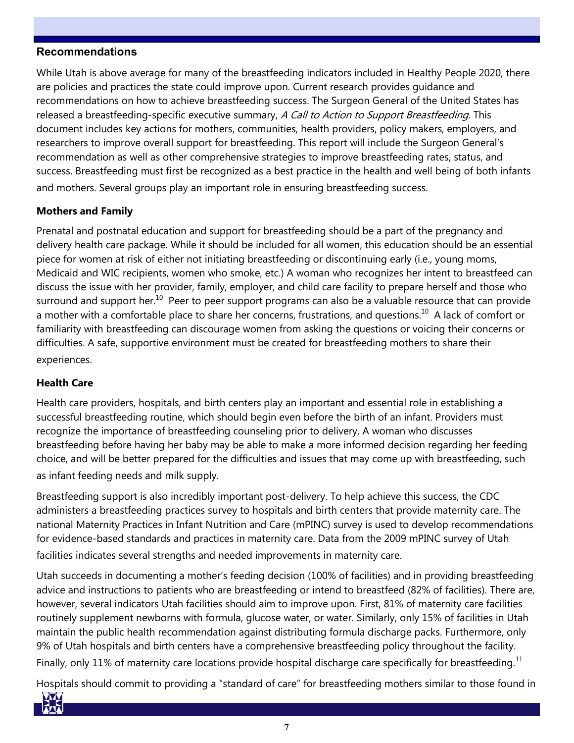#### **Recommendations**

While Utah is above average for many of the breastfeeding indicators included in Healthy People 2020, there are policies and practices the state could improve upon. Current research provides guidance and recommendations on how to achieve breastfeeding success. The Surgeon General of the United States has released a breastfeeding-specific executive summary, A Call to Action to Support Breastfeeding. This document includes key actions for mothers, communities, health providers, policy makers, employers, and researchers to improve overall support for breastfeeding. This report will include the Surgeon General's recommendation as well as other comprehensive strategies to improve breastfeeding rates, status, and success. Breastfeeding must first be recognized as a best practice in the health and well being of both infants and mothers. Several groups play an important role in ensuring breastfeeding success.

#### **Mothers and Family**

Prenatal and postnatal education and support for breastfeeding should be a part of the pregnancy and delivery health care package. While it should be included for all women, this education should be an essential piece for women at risk of either not initiating breastfeeding or discontinuing early (i.e., young moms, Medicaid and WIC recipients, women who smoke, etc.) A woman who recognizes her intent to breastfeed can discuss the issue with her provider, family, employer, and child care facility to prepare herself and those who surround and support her.<sup>[10](file:///C:/Documents%20and%20Settings/BALGARIN/Desktop/Breastfeeding%20PRAMS%20Report%202013.docx#_ENREF_10#_ENREF_10)</sup> Peer to peer support programs can also be a valuable resource that can provide a mother with a comfortable place to share her concerns, frustrations, and questions.<sup>[10](file:///C:/Documents%20and%20Settings/BALGARIN/Desktop/Breastfeeding%20PRAMS%20Report%202013.docx#_ENREF_10#_ENREF_10)</sup> A lack of comfort or familiarity with breastfeeding can discourage women from asking the questions or voicing their concerns or difficulties. A safe, supportive environment must be created for breastfeeding mothers to share their experiences.

#### **Health Care**

Health care providers, hospitals, and birth centers play an important and essential role in establishing a successful breastfeeding routine, which should begin even before the birth of an infant. Providers must recognize the importance of breastfeeding counseling prior to delivery. A woman who discusses breastfeeding before having her baby may be able to make a more informed decision regarding her feeding choice, and will be better prepared for the difficulties and issues that may come up with breastfeeding, such as infant feeding needs and milk supply.

Breastfeeding support is also incredibly important post-delivery. To help achieve this success, the CDC administers a breastfeeding practices survey to hospitals and birth centers that provide maternity care. The national Maternity Practices in Infant Nutrition and Care (mPINC) survey is used to develop recommendations for evidence-based standards and practices in maternity care. Data from the 2009 mPINC survey of Utah

facilities indicates several strengths and needed improvements in maternity care.

Utah succeeds in documenting a mother's feeding decision (100% of facilities) and in providing breastfeeding advice and instructions to patients who are breastfeeding or intend to breastfeed (82% of facilities). There are, however, several indicators Utah facilities should aim to improve upon. First, 81% of maternity care facilities routinely supplement newborns with formula, glucose water, or water. Similarly, only 15% of facilities in Utah maintain the public health recommendation against distributing formula discharge packs. Furthermore, only 9% of Utah hospitals and birth centers have a comprehensive breastfeeding policy throughout the facility. Finally, only  $11\%$  $11\%$  of maternity care locations provide hospital discharge care specifically for breastfeeding. $^{11}$ 

Hospitals should commit to providing a "standard of care" for breastfeeding mothers similar to those found in

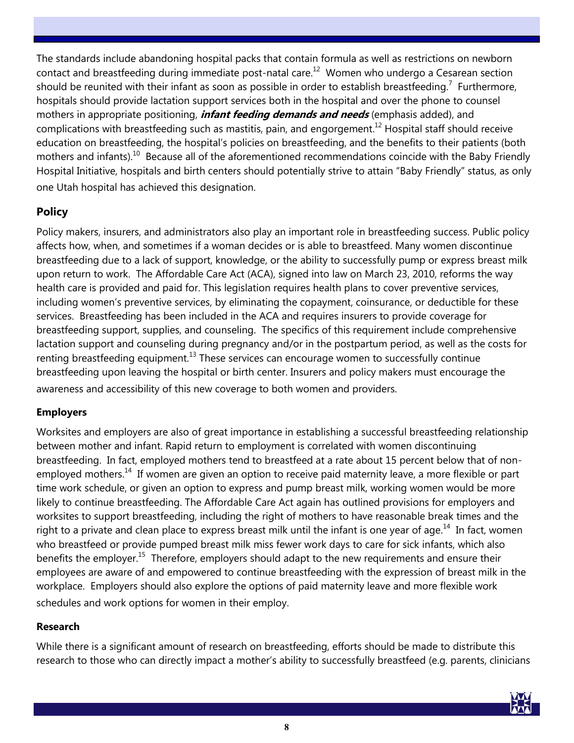The standards include abandoning hospital packs that contain formula as well as restrictions on newborn contact and breastfeeding during immediate post-natal care.<sup>[12](file:///C:/Documents%20and%20Settings/BALGARIN/Desktop/Breastfeeding%20PRAMS%20Report%202013.docx#_ENREF_12#_ENREF_12)</sup> Women who undergo a Cesarean section shouldbe reunited with their infant as soon as possible in order to establish breastfeeding.<sup>7</sup> Furthermore, hospitals should provide lactation support services both in the hospital and over the phone to counsel mothers in appropriate positioning, **infant feeding demands and needs** (emphasis added), and complications with breastfeeding such as mastitis, pain, and engorgement.<sup>[12](file:///C:/Documents%20and%20Settings/BALGARIN/Desktop/Breastfeeding%20PRAMS%20Report%202013.docx#_ENREF_12#_ENREF_12)</sup> Hospital staff should receive education on breastfeeding, the hospital's policies on breastfeeding, and the benefits to their patients (both mothers and infants).<sup>[10](file:///C:/Documents%20and%20Settings/BALGARIN/Desktop/Breastfeeding%20PRAMS%20Report%202013.docx#_ENREF_10#_ENREF_10)</sup> Because all of the aforementioned recommendations coincide with the Baby Friendly Hospital Initiative, hospitals and birth centers should potentially strive to attain "Baby Friendly" status, as only one Utah hospital has achieved this designation.

## **Policy**

Policy makers, insurers, and administrators also play an important role in breastfeeding success. Public policy affects how, when, and sometimes if a woman decides or is able to breastfeed. Many women discontinue breastfeeding due to a lack of support, knowledge, or the ability to successfully pump or express breast milk upon return to work. The Affordable Care Act (ACA), signed into law on March 23, 2010, reforms the way health care is provided and paid for. This legislation requires health plans to cover preventive services, including women's preventive services, by eliminating the copayment, coinsurance, or deductible for these services. Breastfeeding has been included in the ACA and requires insurers to provide coverage for breastfeeding support, supplies, and counseling. The specifics of this requirement include comprehensive lactation support and counseling during pregnancy and/or in the postpartum period, as well as the costs for renting breastfeeding equipment.<sup>[13](file:///C:/Documents%20and%20Settings/BALGARIN/Desktop/Breastfeeding%20PRAMS%20Report%202013.docx#_ENREF_13#_ENREF_13)</sup> These services can encourage women to successfully continue breastfeeding upon leaving the hospital or birth center. Insurers and policy makers must encourage the awareness and accessibility of this new coverage to both women and providers.

### **Employers**

Worksites and employers are also of great importance in establishing a successful breastfeeding relationship between mother and infant. Rapid return to employment is correlated with women discontinuing breastfeeding. In fact, employed mothers tend to breastfeed at a rate about 15 percent below that of non-employed mothers.<sup>[14](file:///C:/Documents%20and%20Settings/BALGARIN/Desktop/Breastfeeding%20PRAMS%20Report%202013.docx#_ENREF_14#_ENREF_14)</sup> If women are given an option to receive paid maternity leave, a more flexible or part time work schedule, or given an option to express and pump breast milk, working women would be more likely to continue breastfeeding. The Affordable Care Act again has outlined provisions for employers and worksites to support breastfeeding, including the right of mothers to have reasonable break times and the right to a private and clean place to express breast milk until the infant is one year of age.<sup>[14](file:///C:/Documents%20and%20Settings/BALGARIN/Desktop/Breastfeeding%20PRAMS%20Report%202013.docx#_ENREF_14#_ENREF_14)</sup> In fact, women who breastfeed or provide pumped breast milk miss fewer work days to care for sick infants, which also benefits the employer.<sup>[15](file:///C:/Documents%20and%20Settings/BALGARIN/Desktop/Breastfeeding%20PRAMS%20Report%202013.docx#_ENREF_15#_ENREF_15)</sup> Therefore, employers should adapt to the new requirements and ensure their employees are aware of and empowered to continue breastfeeding with the expression of breast milk in the workplace. Employers should also explore the options of paid maternity leave and more flexible work schedules and work options for women in their employ.

#### **Research**

While there is a significant amount of research on breastfeeding, efforts should be made to distribute this research to those who can directly impact a mother's ability to successfully breastfeed (e.g. parents, clinicians